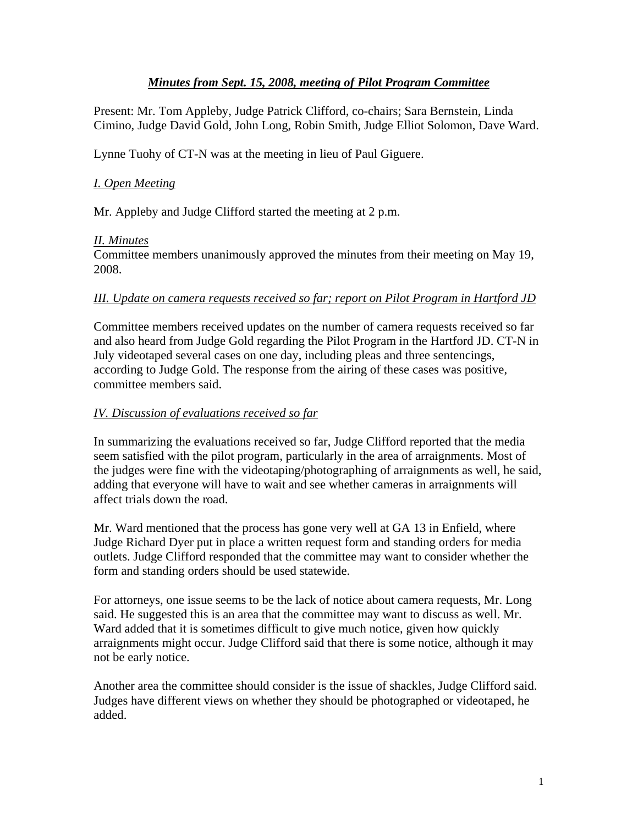# *Minutes from Sept. 15, 2008, meeting of Pilot Program Committee*

Present: Mr. Tom Appleby, Judge Patrick Clifford, co-chairs; Sara Bernstein, Linda Cimino, Judge David Gold, John Long, Robin Smith, Judge Elliot Solomon, Dave Ward.

Lynne Tuohy of CT-N was at the meeting in lieu of Paul Giguere.

# *I. Open Meeting*

Mr. Appleby and Judge Clifford started the meeting at 2 p.m.

## *II. Minutes*

Committee members unanimously approved the minutes from their meeting on May 19, 2008.

#### *III. Update on camera requests received so far; report on Pilot Program in Hartford JD*

Committee members received updates on the number of camera requests received so far and also heard from Judge Gold regarding the Pilot Program in the Hartford JD. CT-N in July videotaped several cases on one day, including pleas and three sentencings, according to Judge Gold. The response from the airing of these cases was positive, committee members said.

### *IV. Discussion of evaluations received so far*

In summarizing the evaluations received so far, Judge Clifford reported that the media seem satisfied with the pilot program, particularly in the area of arraignments. Most of the judges were fine with the videotaping/photographing of arraignments as well, he said, adding that everyone will have to wait and see whether cameras in arraignments will affect trials down the road.

Mr. Ward mentioned that the process has gone very well at GA 13 in Enfield, where Judge Richard Dyer put in place a written request form and standing orders for media outlets. Judge Clifford responded that the committee may want to consider whether the form and standing orders should be used statewide.

For attorneys, one issue seems to be the lack of notice about camera requests, Mr. Long said. He suggested this is an area that the committee may want to discuss as well. Mr. Ward added that it is sometimes difficult to give much notice, given how quickly arraignments might occur. Judge Clifford said that there is some notice, although it may not be early notice.

Another area the committee should consider is the issue of shackles, Judge Clifford said. Judges have different views on whether they should be photographed or videotaped, he added.